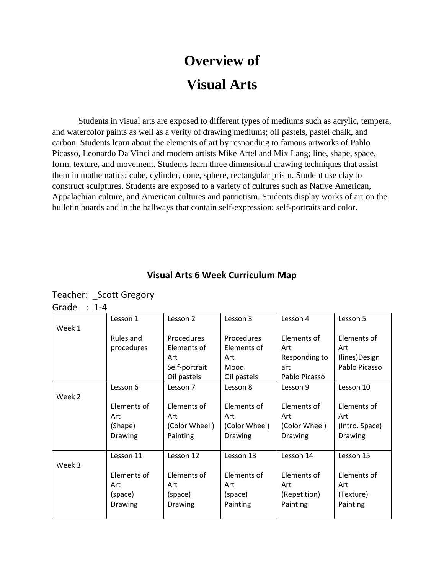## **Overview of Visual Arts**

Students in visual arts are exposed to different types of mediums such as acrylic, tempera, and watercolor paints as well as a verity of drawing mediums; oil pastels, pastel chalk, and carbon. Students learn about the elements of art by responding to famous artworks of Pablo Picasso, Leonardo Da Vinci and modern artists Mike Artel and Mix Lang; line, shape, space, form, texture, and movement. Students learn three dimensional drawing techniques that assist them in mathematics; cube, cylinder, cone, sphere, rectangular prism. Student use clay to construct sculptures. Students are exposed to a variety of cultures such as Native American, Appalachian culture, and American cultures and patriotism. Students display works of art on the bulletin boards and in the hallways that contain self-expression: self-portraits and color.

## **Visual Arts 6 Week Curriculum Map**

Teacher: Scott Gregory Grade : 1-4

| Week 1 | Lesson 1       | Lesson 2       | Lesson 3          | Lesson 4      | Lesson 5       |
|--------|----------------|----------------|-------------------|---------------|----------------|
|        | Rules and      | Procedures     | <b>Procedures</b> | Elements of   | Elements of    |
|        | procedures     | Elements of    | Elements of       | Art           | Art            |
|        |                | Art            | Art               | Responding to | (lines)Design  |
|        |                | Self-portrait  | Mood              | art           | Pablo Picasso  |
|        |                | Oil pastels    | Oil pastels       | Pablo Picasso |                |
|        | Lesson 6       | Lesson 7       | Lesson 8          | Lesson 9      | Lesson 10      |
| Week 2 |                |                |                   |               |                |
|        | Elements of    | Elements of    | Elements of       | Elements of   | Elements of    |
|        | Art            | Art            | Art               | Art           | Art            |
|        | (Shape)        | (Color Wheel)  | (Color Wheel)     | (Color Wheel) | (Intro. Space) |
|        | Drawing        | Painting       | Drawing           | Drawing       | Drawing        |
|        |                |                |                   |               |                |
|        | Lesson 11      | Lesson 12      | Lesson 13         | Lesson 14     | Lesson 15      |
| Week 3 |                |                |                   |               |                |
|        | Elements of    | Elements of    | Elements of       | Elements of   | Elements of    |
|        | Art            | Art            | Art               | Art           | Art            |
|        | (space)        | (space)        | (space)           | (Repetition)  | (Texture)      |
|        | <b>Drawing</b> | <b>Drawing</b> | Painting          | Painting      | Painting       |